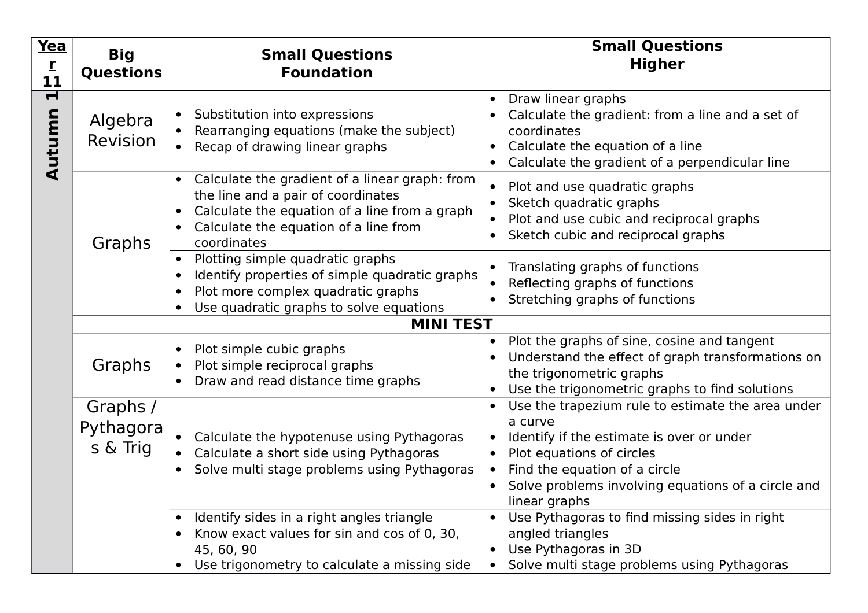| <u>Yea</u><br>$\overline{r}$<br><u> 11</u> | <b>Big</b><br><b>Questions</b>       | <b>Small Questions</b><br><b>Foundation</b>                                                                                                                                                   | <b>Small Questions</b><br><b>Higher</b>                                                                                                                                                                                                        |  |  |
|--------------------------------------------|--------------------------------------|-----------------------------------------------------------------------------------------------------------------------------------------------------------------------------------------------|------------------------------------------------------------------------------------------------------------------------------------------------------------------------------------------------------------------------------------------------|--|--|
| Н<br>Autumn                                | Algebra<br>Revision                  | Substitution into expressions<br>Rearranging equations (make the subject)<br>Recap of drawing linear graphs                                                                                   | Draw linear graphs<br>Calculate the gradient: from a line and a set of<br>coordinates<br>Calculate the equation of a line<br>$\bullet$<br>Calculate the gradient of a perpendicular line<br>$\bullet$                                          |  |  |
|                                            | Graphs                               | Calculate the gradient of a linear graph: from<br>the line and a pair of coordinates<br>Calculate the equation of a line from a graph<br>Calculate the equation of a line from<br>coordinates | Plot and use quadratic graphs<br>Sketch quadratic graphs<br>Plot and use cubic and reciprocal graphs<br>Sketch cubic and reciprocal graphs                                                                                                     |  |  |
|                                            |                                      | Plotting simple quadratic graphs<br>Identify properties of simple quadratic graphs<br>Plot more complex quadratic graphs<br>Use quadratic graphs to solve equations                           | Translating graphs of functions<br>Reflecting graphs of functions<br>Stretching graphs of functions                                                                                                                                            |  |  |
|                                            |                                      | <b>MINI TEST</b>                                                                                                                                                                              |                                                                                                                                                                                                                                                |  |  |
|                                            | Graphs                               | Plot simple cubic graphs<br>$\bullet$<br>Plot simple reciprocal graphs<br>Draw and read distance time graphs                                                                                  | Plot the graphs of sine, cosine and tangent<br>Understand the effect of graph transformations on<br>the trigonometric graphs<br>Use the trigonometric graphs to find solutions                                                                 |  |  |
|                                            | Graphs /<br>Pythagora<br>$s \&$ Trig | Calculate the hypotenuse using Pythagoras<br>Calculate a short side using Pythagoras<br>Solve multi stage problems using Pythagoras                                                           | Use the trapezium rule to estimate the area under<br>a curve<br>Identify if the estimate is over or under<br>Plot equations of circles<br>Find the equation of a circle<br>Solve problems involving equations of a circle and<br>linear graphs |  |  |
|                                            |                                      | Identify sides in a right angles triangle<br>Know exact values for sin and cos of 0, 30,<br>45, 60, 90<br>Use trigonometry to calculate a missing side                                        | Use Pythagoras to find missing sides in right<br>angled triangles<br>Use Pythagoras in 3D<br>Solve multi stage problems using Pythagoras                                                                                                       |  |  |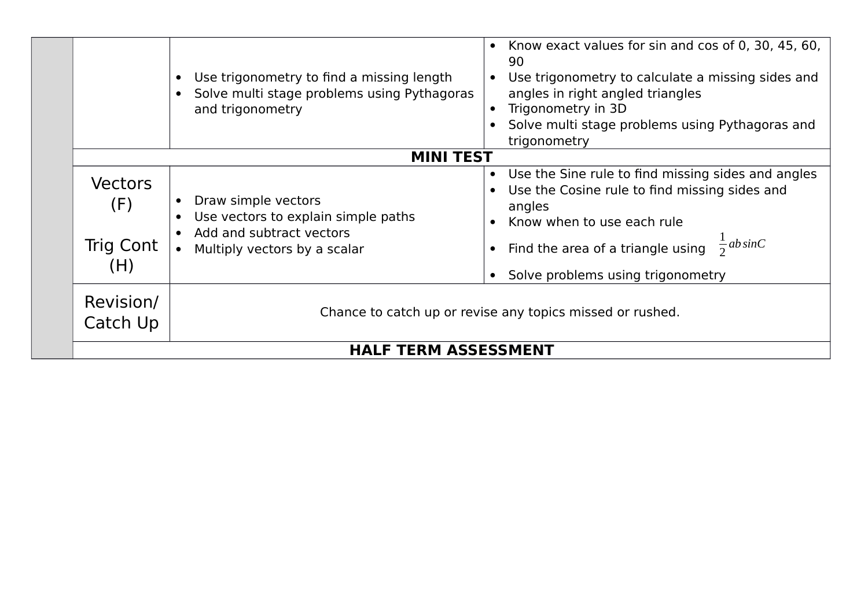|                                           | Use trigonometry to find a missing length<br>Solve multi stage problems using Pythagoras<br>and trigonometry           | Know exact values for sin and cos of 0, 30, 45, 60,<br>$\bullet$<br>90<br>Use trigonometry to calculate a missing sides and<br>angles in right angled triangles<br>Trigonometry in 3D<br>Solve multi stage problems using Pythagoras and<br>trigonometry      |  |  |
|-------------------------------------------|------------------------------------------------------------------------------------------------------------------------|---------------------------------------------------------------------------------------------------------------------------------------------------------------------------------------------------------------------------------------------------------------|--|--|
|                                           | <b>MINI TEST</b>                                                                                                       |                                                                                                                                                                                                                                                               |  |  |
| <b>Vectors</b><br>(F)<br>Trig Cont<br>(H) | Draw simple vectors<br>Use vectors to explain simple paths<br>Add and subtract vectors<br>Multiply vectors by a scalar | Use the Sine rule to find missing sides and angles<br>$\bullet$<br>Use the Cosine rule to find missing sides and<br>angles<br>Know when to use each rule<br>$\frac{1}{2}$ ab sinC<br>• Find the area of a triangle using<br>Solve problems using trigonometry |  |  |
| Revision/<br>Catch Up                     |                                                                                                                        | Chance to catch up or revise any topics missed or rushed.                                                                                                                                                                                                     |  |  |
|                                           |                                                                                                                        | <b>HALF TERM ASSESSMENT</b>                                                                                                                                                                                                                                   |  |  |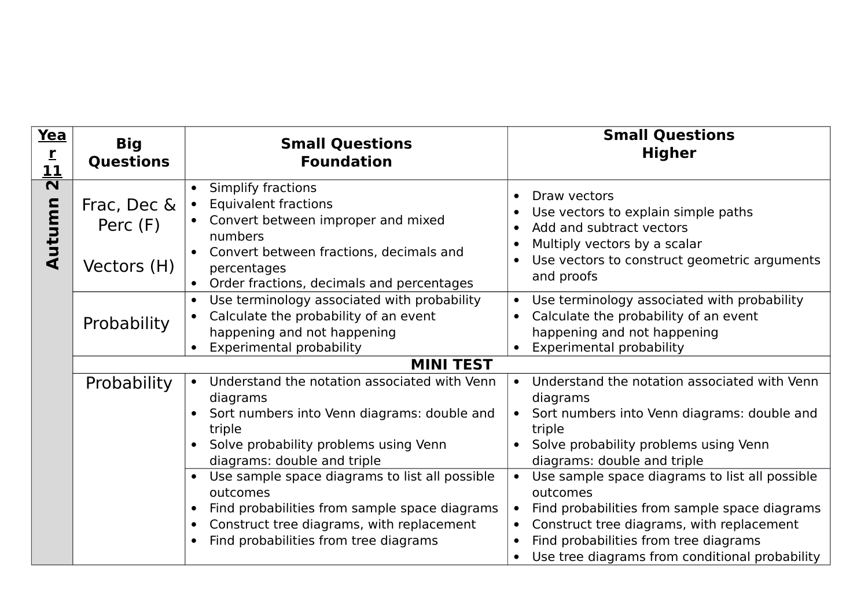| Yea<br>$\mathbf{r}$<br><u> 11</u> | <b>Big</b><br><b>Questions</b> | <b>Small Questions</b><br><b>Foundation</b>                                                                                                                                                                      | <b>Small Questions</b><br><b>Higher</b>                                                                                                                                                                                                                                       |
|-----------------------------------|--------------------------------|------------------------------------------------------------------------------------------------------------------------------------------------------------------------------------------------------------------|-------------------------------------------------------------------------------------------------------------------------------------------------------------------------------------------------------------------------------------------------------------------------------|
| $\overline{\mathbf{N}}$<br>Autumn | Frac, Dec &<br>Perc (F)        | Simplify fractions<br><b>Equivalent fractions</b><br>$\bullet$<br>Convert between improper and mixed<br>numbers<br>Convert between fractions, decimals and                                                       | Draw vectors<br>$\bullet$<br>Use vectors to explain simple paths<br>Add and subtract vectors<br>Multiply vectors by a scalar<br>Use vectors to construct geometric arguments                                                                                                  |
|                                   | Vectors (H)                    | percentages<br>Order fractions, decimals and percentages                                                                                                                                                         | and proofs                                                                                                                                                                                                                                                                    |
|                                   | Probability                    | Use terminology associated with probability<br>Calculate the probability of an event<br>$\bullet$<br>happening and not happening<br><b>Experimental probability</b>                                              | Use terminology associated with probability<br>Calculate the probability of an event<br>$\bullet$<br>happening and not happening<br><b>Experimental probability</b>                                                                                                           |
|                                   |                                | <b>MINI TEST</b>                                                                                                                                                                                                 |                                                                                                                                                                                                                                                                               |
|                                   | Probability                    | Understand the notation associated with Venn<br>diagrams<br>Sort numbers into Venn diagrams: double and<br>triple<br>Solve probability problems using Venn<br>diagrams: double and triple                        | Understand the notation associated with Venn<br>$\bullet$<br>diagrams<br>Sort numbers into Venn diagrams: double and<br>triple<br>Solve probability problems using Venn<br>diagrams: double and triple                                                                        |
|                                   |                                | • Use sample space diagrams to list all possible<br>outcomes<br>Find probabilities from sample space diagrams<br>Construct tree diagrams, with replacement<br>$\bullet$<br>Find probabilities from tree diagrams | Use sample space diagrams to list all possible<br>outcomes<br>Find probabilities from sample space diagrams<br>Construct tree diagrams, with replacement<br>$\bullet$<br>Find probabilities from tree diagrams<br>$\bullet$<br>Use tree diagrams from conditional probability |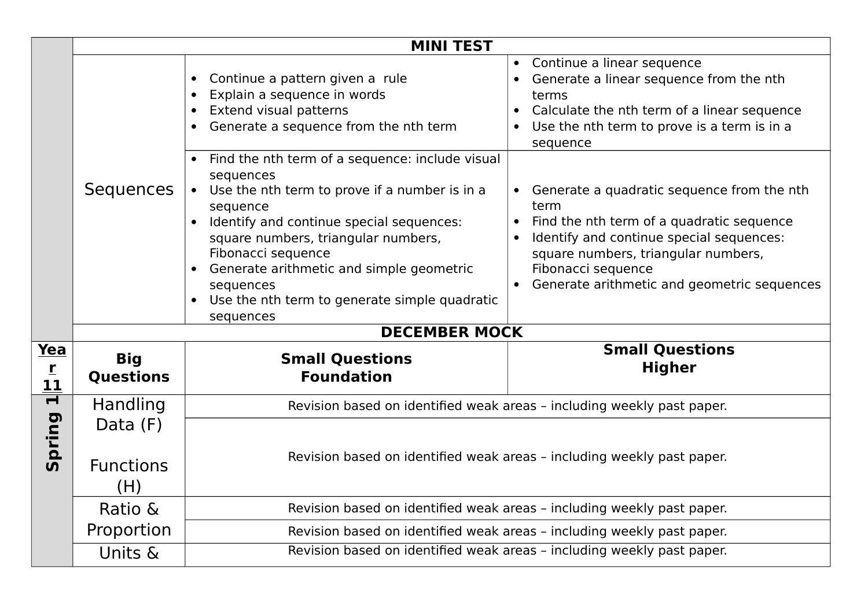|                              | <b>MINI TEST</b>                      |                                                                                                                                                                                                                                                                                                                                                           |  |                                                                                                                                                                                                                                                         |
|------------------------------|---------------------------------------|-----------------------------------------------------------------------------------------------------------------------------------------------------------------------------------------------------------------------------------------------------------------------------------------------------------------------------------------------------------|--|---------------------------------------------------------------------------------------------------------------------------------------------------------------------------------------------------------------------------------------------------------|
|                              |                                       | Continue a pattern given a rule<br>Explain a sequence in words<br><b>Extend visual patterns</b><br>$\bullet$<br>Generate a sequence from the nth term                                                                                                                                                                                                     |  | Continue a linear sequence<br>Generate a linear sequence from the nth<br>terms<br>Calculate the nth term of a linear sequence<br>Use the nth term to prove is a term is in a<br>sequence                                                                |
|                              | Sequences                             | Find the nth term of a sequence: include visual<br>sequences<br>Use the nth term to prove if a number is in a<br>sequence<br>Identify and continue special sequences:<br>square numbers, triangular numbers,<br>Fibonacci sequence<br>Generate arithmetic and simple geometric<br>sequences<br>Use the nth term to generate simple quadratic<br>sequences |  | Generate a quadratic sequence from the nth<br>term<br>Find the nth term of a quadratic sequence<br>Identify and continue special sequences:<br>square numbers, triangular numbers,<br>Fibonacci sequence<br>Generate arithmetic and geometric sequences |
|                              |                                       | <b>DECEMBER MOCK</b>                                                                                                                                                                                                                                                                                                                                      |  |                                                                                                                                                                                                                                                         |
| <u>Yea</u><br>$\frac{r}{11}$ | <b>Big</b><br><b>Questions</b>        | <b>Small Questions</b><br><b>Foundation</b>                                                                                                                                                                                                                                                                                                               |  | <b>Small Questions</b><br><b>Higher</b>                                                                                                                                                                                                                 |
| $\overline{\mathbf{r}}$      | Handling                              | Revision based on identified weak areas - including weekly past paper.                                                                                                                                                                                                                                                                                    |  |                                                                                                                                                                                                                                                         |
| Spring                       | Data $(F)$<br><b>Functions</b><br>(H) | Revision based on identified weak areas - including weekly past paper.                                                                                                                                                                                                                                                                                    |  |                                                                                                                                                                                                                                                         |
|                              | Ratio &                               | Revision based on identified weak areas - including weekly past paper.                                                                                                                                                                                                                                                                                    |  |                                                                                                                                                                                                                                                         |
|                              | Proportion                            | Revision based on identified weak areas - including weekly past paper.                                                                                                                                                                                                                                                                                    |  |                                                                                                                                                                                                                                                         |
|                              | Units &                               | Revision based on identified weak areas - including weekly past paper.                                                                                                                                                                                                                                                                                    |  |                                                                                                                                                                                                                                                         |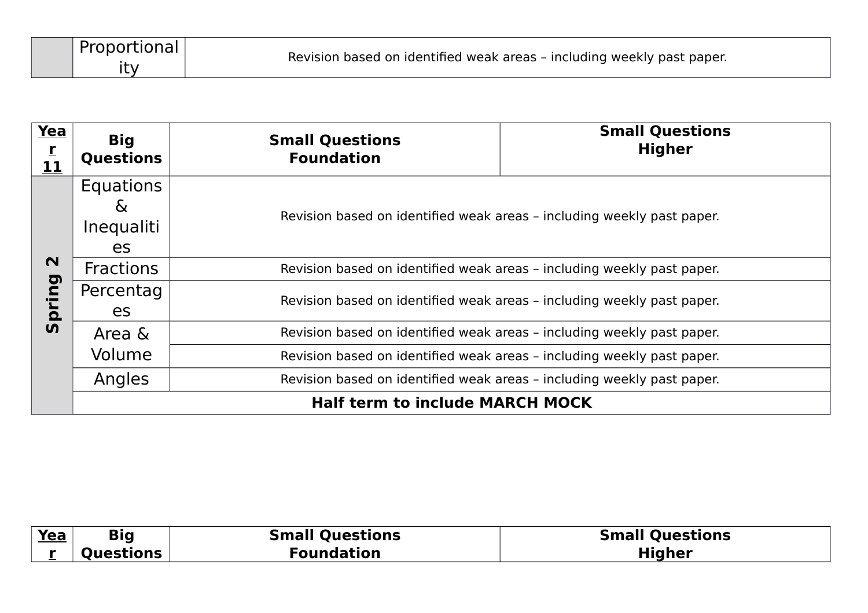| Yea<br>$\frac{r}{11}$     | <b>Big</b><br><b>Questions</b>                   | <b>Small Questions</b><br><b>Foundation</b>                            | <b>Small Questions</b><br><b>Higher</b>                                |  |  |
|---------------------------|--------------------------------------------------|------------------------------------------------------------------------|------------------------------------------------------------------------|--|--|
|                           | <b>Equations</b><br>$\alpha$<br>Inequaliti<br>es |                                                                        | Revision based on identified weak areas - including weekly past paper. |  |  |
| $\mathbf N$               | <b>Fractions</b>                                 |                                                                        | Revision based on identified weak areas - including weekly past paper. |  |  |
| pu<br>ם<br>ם<br><b>SV</b> | Percentag<br>es                                  |                                                                        | Revision based on identified weak areas - including weekly past paper. |  |  |
|                           | Area &                                           |                                                                        | Revision based on identified weak areas - including weekly past paper. |  |  |
|                           | Volume                                           | Revision based on identified weak areas - including weekly past paper. |                                                                        |  |  |
|                           | Angles                                           |                                                                        | Revision based on identified weak areas - including weekly past paper. |  |  |
|                           | <b>Half term to include MARCH MOCK</b>           |                                                                        |                                                                        |  |  |

| <u>Yea</u> | <b>Big</b>       | <b>Small Questions</b> | <b>Small Questions</b> |
|------------|------------------|------------------------|------------------------|
|            | <b>Questions</b> | Foundation             | <b>Higher</b>          |